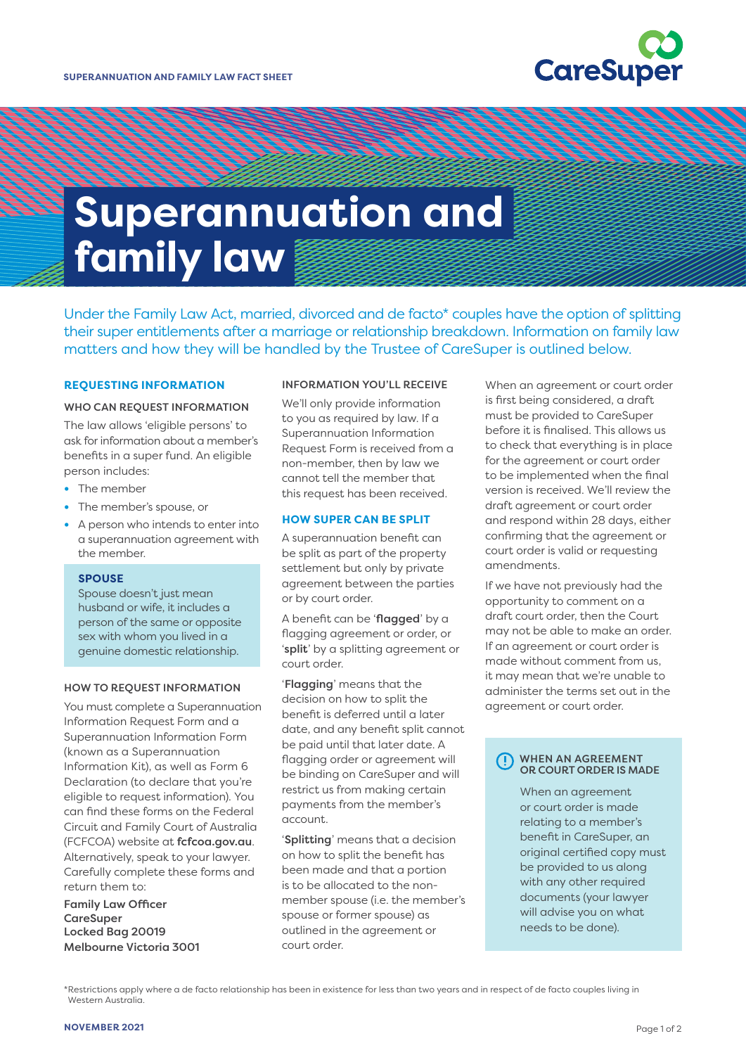

# **Superannuation and family law**

Under the Family Law Act, married, divorced and de facto\* couples have the option of splitting their super entitlements after a marriage or relationship breakdown. Information on family law matters and how they will be handled by the Trustee of CareSuper is outlined below.

## **REQUESTING INFORMATION**

#### WHO CAN REQUEST INFORMATION

The law allows 'eligible persons' to ask for information about a member's benefits in a super fund. An eligible person includes:

- **•** The member
- **•** The member's spouse, or
- **•** A person who intends to enter into a superannuation agreement with the member.

## **SPOUSE**

Spouse doesn't just mean husband or wife, it includes a person of the same or opposite sex with whom you lived in a genuine domestic relationship.

#### HOW TO REQUEST INFORMATION

You must complete a Superannuation Information Request Form and a Superannuation Information Form (known as a Superannuation Information Kit), as well as Form 6 Declaration (to declare that you're eligible to request information). You can find these forms on the Federal Circuit and Family Court of Australia (FCFCOA) website at [fcfcoa.gov.au](https://www.fcfcoa.gov.au/)[.](http://familycourt.gov.au.) Alternatively, speak to your lawyer. Carefully complete these forms and return them to:

Family Law Officer **CareSuper** Locked Bag 20019 Melbourne Victoria 3001

## INFORMATION YOU'LL RECEIVE

We'll only provide information to you as required by law. If a Superannuation Information Request Form is received from a non-member, then by law we cannot tell the member that this request has been received.

## **HOW SUPER CAN BE SPLIT**

A superannuation benefit can be split as part of the property settlement but only by private agreement between the parties or by court order.

A benefit can be 'flagged' by a flagging agreement or order, or 'split' by a splitting agreement or court order.

'Flagging' means that the decision on how to split the benefit is deferred until a later date, and any benefit split cannot be paid until that later date. A flagging order or agreement will be binding on CareSuper and will restrict us from making certain payments from the member's account.

'Splitting' means that a decision on how to split the benefit has been made and that a portion is to be allocated to the nonmember spouse (i.e. the member's spouse or former spouse) as outlined in the agreement or court order.

When an agreement or court order is first being considered, a draft must be provided to CareSuper before it is finalised. This allows us to check that everything is in place for the agreement or court order to be implemented when the final version is received. We'll review the draft agreement or court order and respond within 28 days, either confirming that the agreement or court order is valid or requesting amendments.

If we have not previously had the opportunity to comment on a draft court order, then the Court may not be able to make an order. If an agreement or court order is made without comment from us, it may mean that we're unable to administer the terms set out in the agreement or court order.

#### WHEN AN AGREEMENT OR COURT ORDER IS MADE

When an agreement or court order is made relating to a member's benefit in CareSuper, an original certified copy must be provided to us along with any other required documents (your lawyer will advise you on what needs to be done).

<sup>\*</sup>Restrictions apply where a de facto relationship has been in existence for less than two years and in respect of de facto couples living in Western Australia.